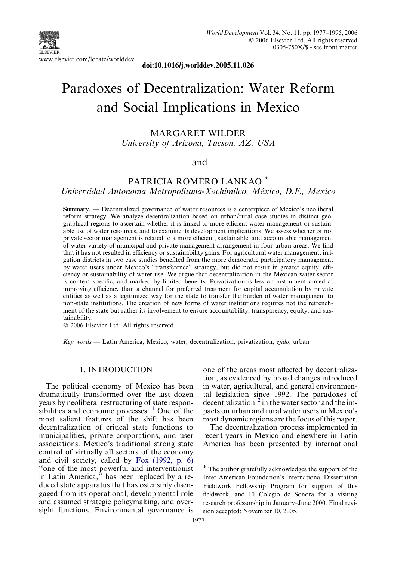

doi:10.1016/j.worlddev.2005.11.026

# Paradoxes of Decentralization: Water Reform and Social Implications in Mexico

MARGARET WILDER University of Arizona, Tucson, AZ, USA

#### and

### PATRICIA ROMERO LANKAO \*

Universidad Autonoma Metropolitana-Xochimilco, México, D.F., Mexico

Summary. — Decentralized governance of water resources is a centerpiece of Mexico's neoliberal reform strategy. We analyze decentralization based on urban/rural case studies in distinct geographical regions to ascertain whether it is linked to more efficient water management or sustainable use of water resources, and to examine its development implications. We assess whether or not private sector management is related to a more efficient, sustainable, and accountable management of water variety of municipal and private management arrangement in four urban areas. We find that it has not resulted in efficiency or sustainability gains. For agricultural water management, irrigation districts in two case studies benefited from the more democratic participatory management by water users under Mexico's ''transference'' strategy, but did not result in greater equity, efficiency or sustainability of water use. We argue that decentralization in the Mexican water sector is context specific, and marked by limited benefits. Privatization is less an instrument aimed at improving efficiency than a channel for preferred treatment for capital accumulation by private entities as well as a legitimized way for the state to transfer the burden of water management to non-state institutions. The creation of new forms of water institutions requires not the retrenchment of the state but rather its involvement to ensure accountability, transparency, equity, and sustainability.

© 2006 Elsevier Ltd. All rights reserved.

Key words — Latin America, Mexico, water, decentralization, privatization, ejido, urban

#### 1. INTRODUCTION

The political economy of Mexico has been dramatically transformed over the last dozen years by neoliberal restructuring of state responsibilities and economic processes.  $\frac{1}{1}$  One of the most salient features of the shift has been decentralization of critical state functions to municipalities, private corporations, and user associations. Mexico's traditional strong state control of virtually all sectors of the economy and civil society, called by [Fox \(1992, p. 6\)](#page--1-0) ''one of the most powerful and interventionist in Latin America,'' has been replaced by a reduced state apparatus that has ostensibly disengaged from its operational, developmental role and assumed strategic policymaking, and oversight functions. Environmental governance is

one of the areas most affected by decentralization, as evidenced by broad changes introduced in water, agricultural, and general environmental legislation since 1992. The paradoxes of decentralization  $2 \text{ in the water sector and the im-}$ pacts on urban and rural water users in Mexico's most dynamic regions are the focus of this paper.

The decentralization process implemented in recent years in Mexico and elsewhere in Latin America has been presented by international

<sup>\*</sup> The author gratefully acknowledges the support of the Inter-American Foundation's International Dissertation Fieldwork Fellowship Program for support of this fieldwork, and El Colegio de Sonora for a visiting research professorship in January–June 2000. Final revision accepted: November 10, 2005.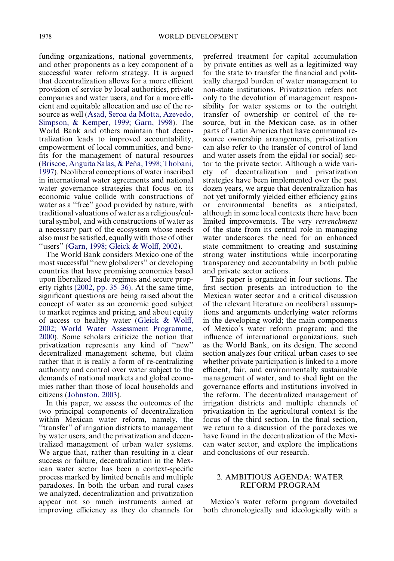funding organizations, national governments, and other proponents as a key component of a successful water reform strategy. It is argued that decentralization allows for a more efficient provision of service by local authorities, private companies and water users, and for a more efficient and equitable allocation and use of the resource as well ([Asad, Seroa da Motta, Azevedo,](#page--1-0) [Simpson, & Kemper, 1999; Garn, 1998\)](#page--1-0). The World Bank and others maintain that decentralization leads to improved accountability, empowerment of local communities, and benefits for the management of natural resources (Briscoe, Anguita Salas, & Peña, 1998; Thobani, [1997](#page--1-0)). Neoliberal conceptions of water inscribed in international water agreements and national water governance strategies that focus on its economic value collide with constructions of water as a ''free'' good provided by nature, with traditional valuations of water as a religious/cultural symbol, and with constructions of water as a necessary part of the ecosystem whose needs also must be satisfied, equally with those of other "users" [\(Garn, 1998; Gleick & Wolff, 2002](#page--1-0)).

The World Bank considers Mexico one of the most successful ''new globalizers'' or developing countries that have promising economies based upon liberalized trade regimes and secure property rights [\(2002, pp. 35–36\)](#page--1-0). At the same time, significant questions are being raised about the concept of water as an economic good subject to market regimes and pricing, and about equity of access to healthy water ([Gleick & Wolff,](#page--1-0) [2002; World Water Assessment Programme,](#page--1-0) [2000](#page--1-0)). Some scholars criticize the notion that privatization represents any kind of ''new'' decentralized management scheme, but claim rather that it is really a form of re-centralizing authority and control over water subject to the demands of national markets and global economies rather than those of local households and citizens ([Johnston, 2003](#page--1-0)).

In this paper, we assess the outcomes of the two principal components of decentralization within Mexican water reform, namely, the ''transfer'' of irrigation districts to management by water users, and the privatization and decentralized management of urban water systems. We argue that, rather than resulting in a clear success or failure, decentralization in the Mexican water sector has been a context-specific process marked by limited benefits and multiple paradoxes. In both the urban and rural cases we analyzed, decentralization and privatization appear not so much instruments aimed at improving efficiency as they do channels for preferred treatment for capital accumulation by private entities as well as a legitimized way for the state to transfer the financial and politically charged burden of water management to non-state institutions. Privatization refers not only to the devolution of management responsibility for water systems or to the outright transfer of ownership or control of the resource, but in the Mexican case, as in other parts of Latin America that have communal resource ownership arrangements, privatization can also refer to the transfer of control of land and water assets from the ejidal (or social) sector to the private sector. Although a wide variety of decentralization and privatization strategies have been implemented over the past dozen years, we argue that decentralization has not yet uniformly yielded either efficiency gains or environmental benefits as anticipated, although in some local contexts there have been limited improvements. The very retrenchment of the state from its central role in managing water underscores the need for an enhanced state commitment to creating and sustaining strong water institutions while incorporating transparency and accountability in both public and private sector actions.

This paper is organized in four sections. The first section presents an introduction to the Mexican water sector and a critical discussion of the relevant literature on neoliberal assumptions and arguments underlying water reforms in the developing world; the main components of Mexico's water reform program; and the influence of international organizations, such as the World Bank, on its design. The second section analyzes four critical urban cases to see whether private participation is linked to a more efficient, fair, and environmentally sustainable management of water, and to shed light on the governance efforts and institutions involved in the reform. The decentralized management of irrigation districts and multiple channels of privatization in the agricultural context is the focus of the third section. In the final section, we return to a discussion of the paradoxes we have found in the decentralization of the Mexican water sector, and explore the implications and conclusions of our research.

#### 2. AMBITIOUS AGENDA: WATER REFORM PROGRAM

Mexico's water reform program dovetailed both chronologically and ideologically with a